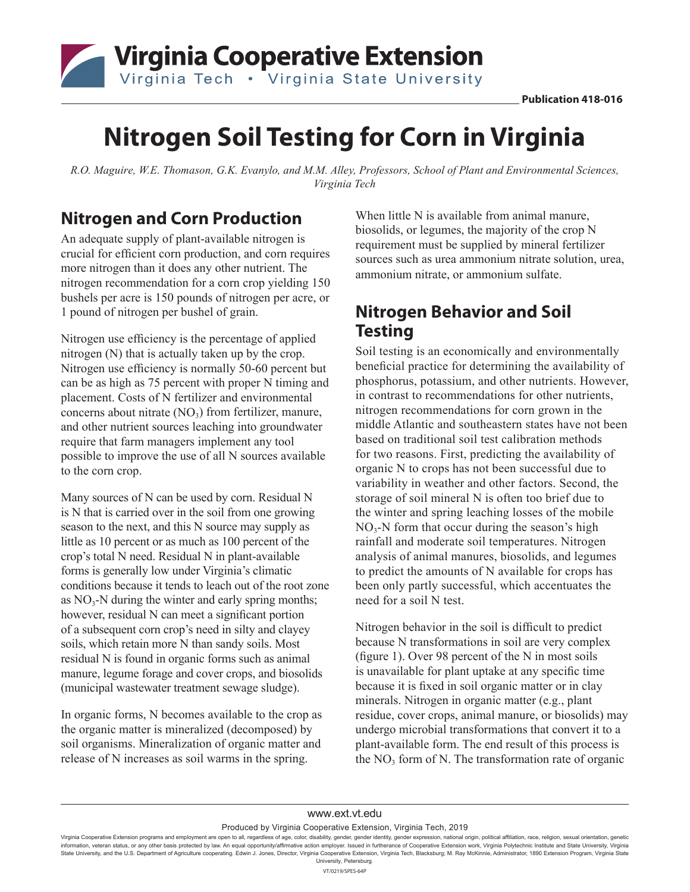

# **Nitrogen Soil Testing for Corn in Virginia**

*R.O. Maguire, W.E. Thomason, G.K. Evanylo, and M.M. Alley, Professors, School of Plant and Environmental Sciences, Virginia Tech*

#### **Nitrogen and Corn Production**

An adequate supply of plant-available nitrogen is crucial for efficient corn production, and corn requires more nitrogen than it does any other nutrient. The nitrogen recommendation for a corn crop yielding 150 bushels per acre is 150 pounds of nitrogen per acre, or 1 pound of nitrogen per bushel of grain.

Nitrogen use efficiency is the percentage of applied nitrogen (N) that is actually taken up by the crop. Nitrogen use efficiency is normally 50-60 percent but can be as high as 75 percent with proper N timing and placement. Costs of N fertilizer and environmental concerns about nitrate  $(NO<sub>3</sub>)$  from fertilizer, manure, and other nutrient sources leaching into groundwater require that farm managers implement any tool possible to improve the use of all N sources available to the corn crop.

Many sources of N can be used by corn. Residual N is N that is carried over in the soil from one growing season to the next, and this N source may supply as little as 10 percent or as much as 100 percent of the crop's total N need. Residual N in plant-available forms is generally low under Virginia's climatic conditions because it tends to leach out of the root zone as  $NO<sub>3</sub>-N$  during the winter and early spring months; however, residual N can meet a significant portion of a subsequent corn crop's need in silty and clayey soils, which retain more N than sandy soils. Most residual N is found in organic forms such as animal manure, legume forage and cover crops, and biosolids (municipal wastewater treatment sewage sludge).

In organic forms, N becomes available to the crop as the organic matter is mineralized (decomposed) by soil organisms. Mineralization of organic matter and release of N increases as soil warms in the spring.

When little N is available from animal manure, biosolids, or legumes, the majority of the crop N requirement must be supplied by mineral fertilizer sources such as urea ammonium nitrate solution, urea, ammonium nitrate, or ammonium sulfate.

#### **Nitrogen Behavior and Soil Testing**

Soil testing is an economically and environmentally beneficial practice for determining the availability of phosphorus, potassium, and other nutrients. However, in contrast to recommendations for other nutrients, nitrogen recommendations for corn grown in the middle Atlantic and southeastern states have not been based on traditional soil test calibration methods for two reasons. First, predicting the availability of organic N to crops has not been successful due to variability in weather and other factors. Second, the storage of soil mineral N is often too brief due to the winter and spring leaching losses of the mobile  $NO<sub>3</sub>-N$  form that occur during the season's high rainfall and moderate soil temperatures. Nitrogen analysis of animal manures, biosolids, and legumes to predict the amounts of N available for crops has been only partly successful, which accentuates the need for a soil N test.

Nitrogen behavior in the soil is difficult to predict because N transformations in soil are very complex (figure 1). Over 98 percent of the N in most soils is unavailable for plant uptake at any specific time because it is fixed in soil organic matter or in clay minerals. Nitrogen in organic matter (e.g., plant residue, cover crops, animal manure, or biosolids) may undergo microbial transformations that convert it to a plant-available form. The end result of this process is the  $NO<sub>3</sub>$  form of N. The transformation rate of organic

Produced by Virginia Cooperative Extension, Virginia Tech, 2019

Virginia Cooperative Extension programs and employment are open to all, regardless of age, color, disability, gender, gender identity, gender expression, national origin, political affiliation, race, religion, sexual orien information, veteran status, or any other basis protected by law. An equal opportunity/affirmative action employer. Issued in furtherance of Cooperative Extension work, Virginia Polytechnic Institute and State University, State University, and the U.S. Department of Agriculture cooperating. Edwin J. Jones, Director, Virginia Cooperative Extension, Virginia Tech, Blacksburg; M. Ray McKinnie, Administrator, 1890 Extension Program, Virginia St University, Petersburg.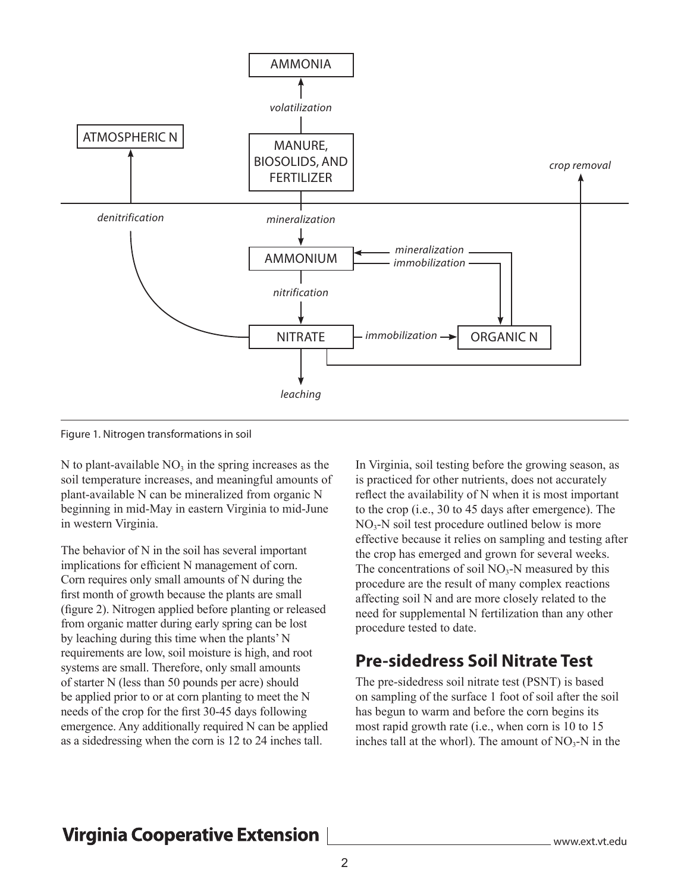

Figure 1. Nitrogen transformations in soil

N to plant-available  $NO<sub>3</sub>$  in the spring increases as the soil temperature increases, and meaningful amounts of plant-available N can be mineralized from organic N beginning in mid-May in eastern Virginia to mid-June in western Virginia.

The behavior of N in the soil has several important implications for efficient N management of corn. Corn requires only small amounts of N during the first month of growth because the plants are small (figure 2). Nitrogen applied before planting or released from organic matter during early spring can be lost by leaching during this time when the plants' N requirements are low, soil moisture is high, and root systems are small. Therefore, only small amounts of starter N (less than 50 pounds per acre) should be applied prior to or at corn planting to meet the N needs of the crop for the first 30-45 days following emergence. Any additionally required N can be applied as a sidedressing when the corn is 12 to 24 inches tall.

In Virginia, soil testing before the growing season, as is practiced for other nutrients, does not accurately reflect the availability of N when it is most important to the crop (i.e., 30 to 45 days after emergence). The  $NO<sub>3</sub>-N$  soil test procedure outlined below is more effective because it relies on sampling and testing after the crop has emerged and grown for several weeks. The concentrations of soil  $NO_3-N$  measured by this procedure are the result of many complex reactions affecting soil N and are more closely related to the need for supplemental N fertilization than any other procedure tested to date.

### **Pre-sidedress Soil Nitrate Test**

The pre-sidedress soil nitrate test (PSNT) is based on sampling of the surface 1 foot of soil after the soil has begun to warm and before the corn begins its most rapid growth rate (i.e., when corn is 10 to 15 inches tall at the whorl). The amount of  $NO_3-N$  in the

### **Virginia Cooperative Extension**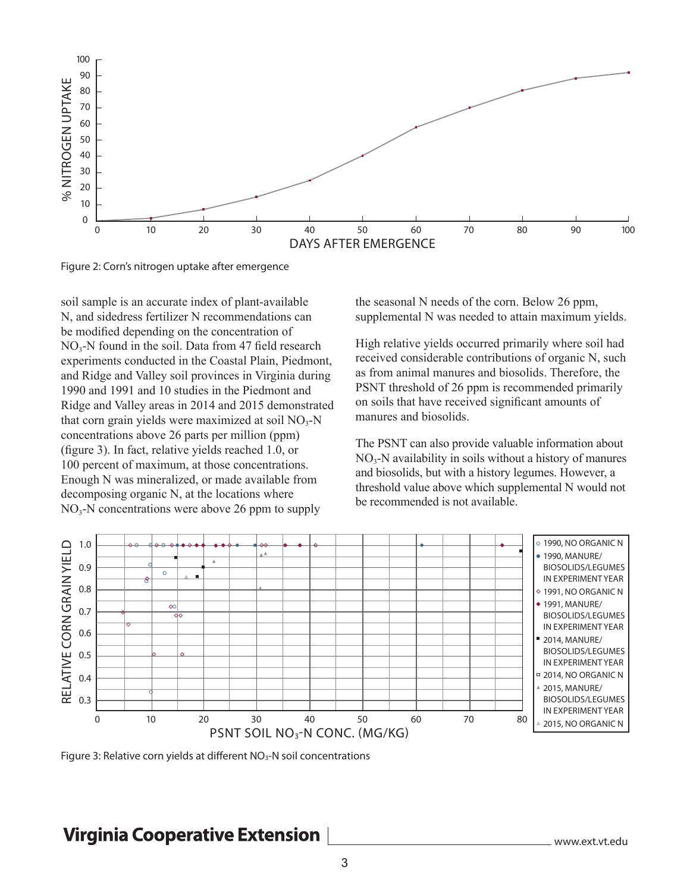

Figure 2: Corn's nitrogen uptake after emergence

soil sample is an accurate index of plant-available N, and sidedress fertilizer N recommendations can be modified depending on the concentration of  $NO<sub>3</sub>-N$  found in the soil. Data from 47 field research experiments conducted in the Coastal Plain, Piedmont, and Ridge and Valley soil provinces in Virginia during 1990 and 1991 and 10 studies in the Piedmont and Ridge and Valley areas in 2014 and 2015 demonstrated that corn grain yields were maximized at soil  $NO_3-N$ concentrations above 26 parts per million (ppm) (figure 3). In fact, relative yields reached 1.0, or 100 percent of maximum, at those concentrations. Enough N was mineralized, or made available from decomposing organic N, at the locations where  $NO<sub>3</sub>-N$  concentrations were above 26 ppm to supply

the seasonal N needs of the corn. Below 26 ppm, supplemental N was needed to attain maximum yields.

High relative yields occurred primarily where soil had received considerable contributions of organic N, such as from animal manures and biosolids. Therefore, the PSNT threshold of 26 ppm is recommended primarily on soils that have received significant amounts of manures and biosolids.

The PSNT can also provide valuable information about  $NO<sub>3</sub>-N$  availability in soils without a history of manures and biosolids, but with a history legumes. However, a threshold value above which supplemental N would not be recommended is not available.



### **Virginia Cooperative Extension**